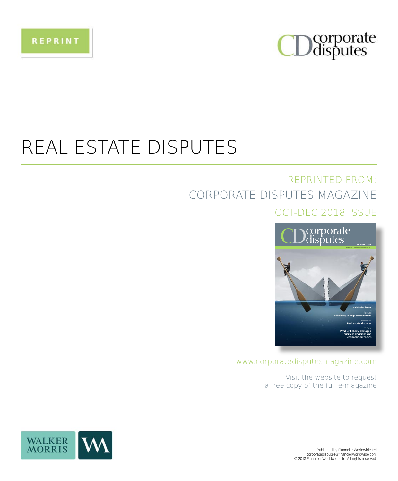

## REAL ESTATE DISPUTES

### **REPRINTED FROM:** CORPORATE DISPUTES MAGAZINE OCT-DEC 2018 ISSUE



www.corporatedisputesmagazine.com

Visit the website to request a free copy of the full e-magazine



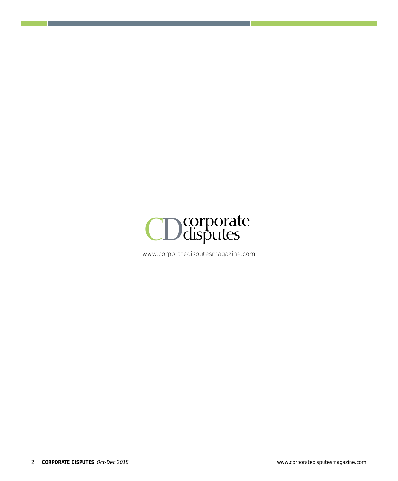

www.corporatedisputesmagazine.com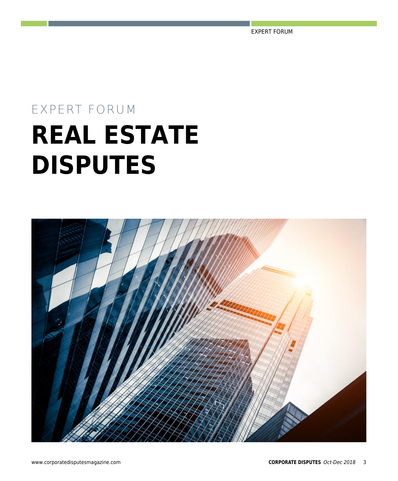EXPERT FORUM

# EXPERT FORUM **REAL ESTATE DISPUTES**

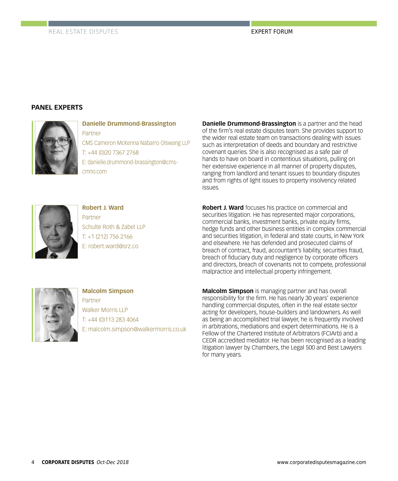#### **PANEL EXPERTS**



**Danielle Drummond-Brassington** Partner CMS Cameron McKenna Nabarro Olswang LLP

T: +44 (0)20 7367 2768 E: danielle.drummond-brassington@cmscmno.com

**Danielle Drummond-Brassington** is a partner and the head of the firm's real estate disputes team. She provides support to the wider real estate team on transactions dealing with issues such as interpretation of deeds and boundary and restrictive covenant queries. She is also recognised as a safe pair of hands to have on board in contentious situations, pulling on her extensive experience in all manner of property disputes, ranging from landlord and tenant issues to boundary disputes and from rights of light issues to property insolvency related issues.



**Robert J. Ward** Partner Schulte Roth & Zabel LLP T: +1 (212) 756 2166 E: robert.ward@srz.co

**Robert J. Ward** focuses his practice on commercial and securities litigation. He has represented major corporations. commercial banks, investment banks, private equity firms, hedge funds and other business entities in complex commercial and securities litigation, in federal and state courts, in New York and elsewhere. He has defended and prosecuted claims of breach of contract, fraud, accountant's liability, securities fraud, breach of fiduciary duty and negligence by corporate officers and directors, breach of covenants not to compete, professional malpractice and intellectual property infringement.



**Malcolm Simpson** Partner Walker Morris LLP T: +44 (0)113 283 4064 E: malcolm.simpson@walkermorris.co.uk

**Malcolm Simpson** is managing partner and has overall responsibility for the firm. He has nearly 30 years' experience handling commercial disputes, often in the real estate sector acting for developers, house-builders and landowners. As well as being an accomplished trial lawyer, he is frequently involved in arbitrations, mediations and expert determinations. He is a Fellow of the Chartered Institute of Arbitrators (FCIArb) and a CEDR accredited mediator. He has been recognised as a leading litigation lawyer by Chambers, the Legal 500 and Best Lawyers for many years.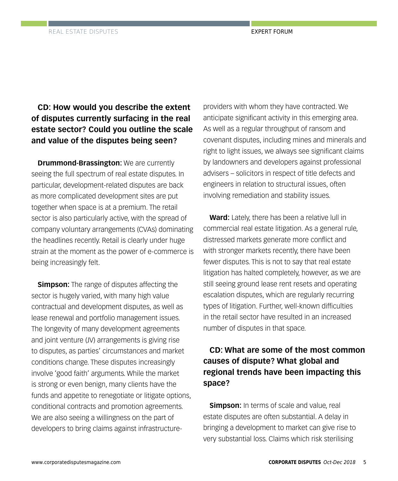#### **CD: How would you describe the extent of disputes currently surfacing in the real estate sector? Could you outline the scale and value of the disputes being seen?**

**Drummond-Brassington:** We are currently seeing the full spectrum of real estate disputes. In particular, development-related disputes are back as more complicated development sites are put together when space is at a premium. The retail sector is also particularly active, with the spread of company voluntary arrangements (CVAs) dominating the headlines recently. Retail is clearly under huge strain at the moment as the power of e-commerce is being increasingly felt.

**Simpson:** The range of disputes affecting the sector is hugely varied, with many high value contractual and development disputes, as well as lease renewal and portfolio management issues. The longevity of many development agreements and joint venture (JV) arrangements is giving rise to disputes, as parties' circumstances and market conditions change. These disputes increasingly involve 'good faith' arguments. While the market is strong or even benign, many clients have the funds and appetite to renegotiate or litigate options, conditional contracts and promotion agreements. We are also seeing a willingness on the part of developers to bring claims against infrastructureproviders with whom they have contracted. We anticipate significant activity in this emerging area. As well as a regular throughput of ransom and covenant disputes, including mines and minerals and right to light issues, we always see significant claims by landowners and developers against professional advisers – solicitors in respect of title defects and engineers in relation to structural issues, often involving remediation and stability issues.

**Ward:** Lately, there has been a relative lull in commercial real estate litigation. As a general rule, distressed markets generate more conflict and with stronger markets recently, there have been fewer disputes. This is not to say that real estate litigation has halted completely, however, as we are still seeing ground lease rent resets and operating escalation disputes, which are regularly recurring types of litigation. Further, well-known difficulties in the retail sector have resulted in an increased number of disputes in that space.

#### **CD: What are some of the most common causes of dispute? What global and regional trends have been impacting this space?**

**Simpson:** In terms of scale and value, real estate disputes are often substantial. A delay in bringing a development to market can give rise to very substantial loss. Claims which risk sterilising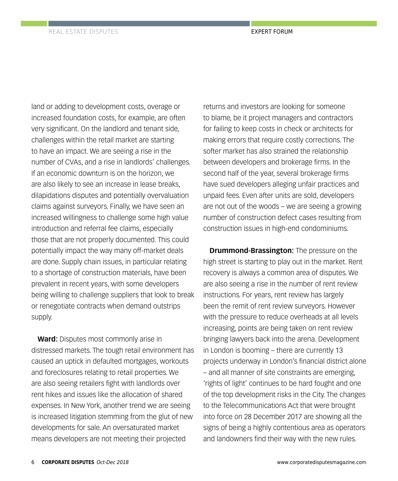land or adding to development costs, overage or increased foundation costs, for example, are often very significant. On the landlord and tenant side, challenges within the retail market are starting to have an impact. We are seeing a rise in the number of CVAs, and a rise in landlords' challenges. If an economic downturn is on the horizon, we are also likely to see an increase in lease breaks, dilapidations disputes and potentially overvaluation claims against surveyors. Finally, we have seen an increased willingness to challenge some high value introduction and referral fee claims, especially those that are not properly documented. This could potentially impact the way many off-market deals are done. Supply chain issues, in particular relating to a shortage of construction materials, have been prevalent in recent years, with some developers being willing to challenge suppliers that look to break or renegotiate contracts when demand outstrips supply.

**Ward:** Disputes most commonly arise in distressed markets. The tough retail environment has caused an uptick in defaulted mortgages, workouts and foreclosures relating to retail properties. We are also seeing retailers fight with landlords over rent hikes and issues like the allocation of shared expenses. In New York, another trend we are seeing is increased litigation stemming from the glut of new developments for sale. An oversaturated market means developers are not meeting their projected

returns and investors are looking for someone to blame, be it project managers and contractors for failing to keep costs in check or architects for making errors that require costly corrections. The softer market has also strained the relationship between developers and brokerage firms. In the second half of the year, several brokerage firms have sued developers alleging unfair practices and unpaid fees. Even after units are sold, developers are not out of the woods – we are seeing a growing number of construction defect cases resulting from construction issues in high-end condominiums.

**Drummond-Brassington:** The pressure on the high street is starting to play out in the market. Rent recovery is always a common area of disputes. We are also seeing a rise in the number of rent review instructions. For years, rent review has largely been the remit of rent review surveyors. However with the pressure to reduce overheads at all levels increasing, points are being taken on rent review bringing lawyers back into the arena. Development in London is booming – there are currently 13 projects underway in London's financial district alone – and all manner of site constraints are emerging, 'rights of light' continues to be hard fought and one of the top development risks in the City. The changes to the Telecommunications Act that were brought into force on 28 December 2017 are showing all the signs of being a highly contentious area as operators and landowners find their way with the new rules.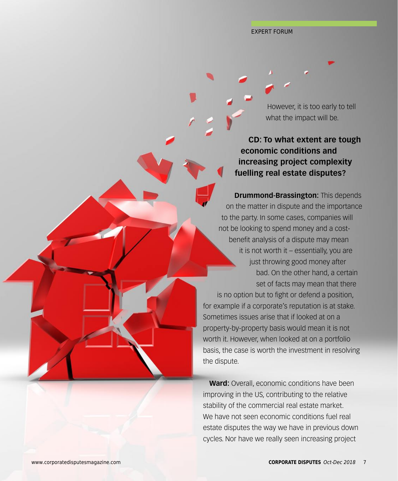However, it is too early to tell what the impact will be.

**CD: To what extent are tough economic conditions and increasing project complexity fuelling real estate disputes?**

**Drummond-Brassington: This depends** on the matter in dispute and the importance to the party. In some cases, companies will not be looking to spend money and a costbenefit analysis of a dispute may mean it is not worth it – essentially, you are just throwing good money after bad. On the other hand, a certain set of facts may mean that there

is no option but to fight or defend a position, for example if a corporate's reputation is at stake. Sometimes issues arise that if looked at on a property-by-property basis would mean it is not worth it. However, when looked at on a portfolio basis, the case is worth the investment in resolving the dispute.

**Ward:** Overall, economic conditions have been improving in the US, contributing to the relative stability of the commercial real estate market. We have not seen economic conditions fuel real estate disputes the way we have in previous down cycles. Nor have we really seen increasing project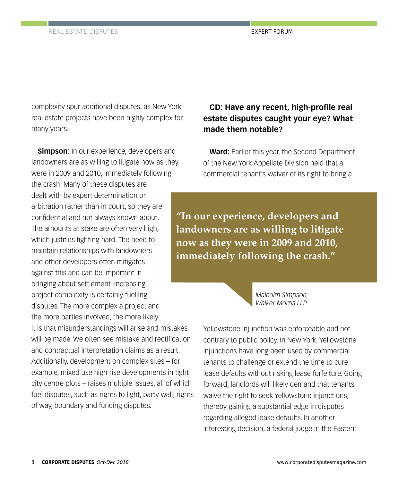complexity spur additional disputes, as New York real estate projects have been highly complex for many years.

**Simpson:** In our experience, developers and landowners are as willing to litigate now as they were in 2009 and 2010, immediately following the crash. Many of these disputes are dealt with by expert determination or arbitration rather than in court, so they are confidential and not always known about. The amounts at stake are often very high, which justifies fighting hard. The need to maintain relationships with landowners and other developers often mitigates against this and can be important in bringing about settlement. Increasing project complexity is certainly fuelling disputes. The more complex a project and the more parties involved, the more likely it is that misunderstandings will arise and mistakes will be made. We often see mistake and rectification and contractual interpretation claims as a result. Additionally, development on complex sites – for example, mixed use high rise developments in tight city centre plots – raises multiple issues, all of which fuel disputes, such as rights to light, party wall, rights of way, boundary and funding disputes.

#### **CD: Have any recent, high-profile real estate disputes caught your eye? What made them notable?**

**Ward:** Earlier this year, the Second Department of the New York Appellate Division held that a commercial tenant's waiver of its right to bring a

**"In our experience, developers and landowners are as willing to litigate now as they were in 2009 and 2010, immediately following the crash."**



Yellowstone injunction was enforceable and not contrary to public policy. In New York, Yellowstone injunctions have long been used by commercial tenants to challenge or extend the time to cure lease defaults without risking lease forfeiture. Going forward, landlords will likely demand that tenants waive the right to seek Yellowstone injunctions, thereby gaining a substantial edge in disputes regarding alleged lease defaults. In another interesting decision, a federal judge in the Eastern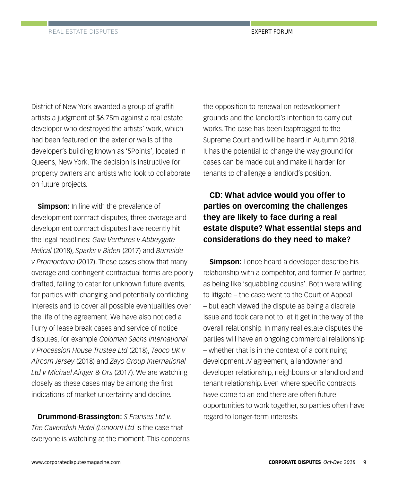District of New York awarded a group of graffiti artists a judgment of \$6.75m against a real estate developer who destroyed the artists' work, which had been featured on the exterior walls of the developer's building known as '5Points', located in Queens, New York. The decision is instructive for property owners and artists who look to collaborate on future projects.

**Simpson:** In line with the prevalence of development contract disputes, three overage and development contract disputes have recently hit the legal headlines: *Gaia Ventures v Abbeygate Helical* (2018), *Sparks v Biden* (2017) and *Burnside v Promontoria* (2017). These cases show that many overage and contingent contractual terms are poorly drafted, failing to cater for unknown future events, for parties with changing and potentially conflicting interests and to cover all possible eventualities over the life of the agreement. We have also noticed a flurry of lease break cases and service of notice disputes, for example *Goldman Sachs International v Procession House Trustee Ltd* (2018), *Teoco UK v Aircom Jersey* (2018) and *Zayo Group International Ltd v Michael Ainger & Ors* (2017). We are watching closely as these cases may be among the first indications of market uncertainty and decline.

**Drummond-Brassington:** *S Franses Ltd v. The Cavendish Hotel (London) Ltd* is the case that everyone is watching at the moment. This concerns the opposition to renewal on redevelopment grounds and the landlord's intention to carry out works. The case has been leapfrogged to the Supreme Court and will be heard in Autumn 2018. It has the potential to change the way ground for cases can be made out and make it harder for tenants to challenge a landlord's position.

#### **CD: What advice would you offer to parties on overcoming the challenges they are likely to face during a real estate dispute? What essential steps and considerations do they need to make?**

**Simpson:** I once heard a developer describe his relationship with a competitor, and former JV partner, as being like 'squabbling cousins'. Both were willing to litigate – the case went to the Court of Appeal – but each viewed the dispute as being a discrete issue and took care not to let it get in the way of the overall relationship. In many real estate disputes the parties will have an ongoing commercial relationship – whether that is in the context of a continuing development JV agreement, a landowner and developer relationship, neighbours or a landlord and tenant relationship. Even where specific contracts have come to an end there are often future opportunities to work together, so parties often have regard to longer-term interests.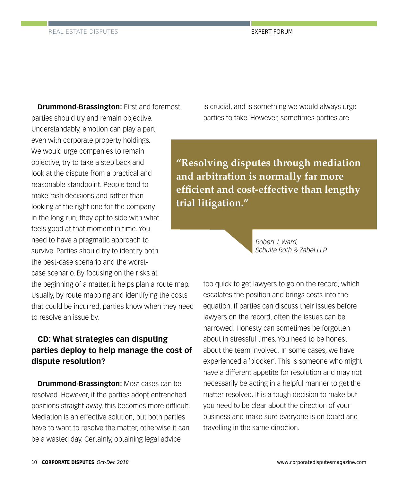**Drummond-Brassington:** First and foremost, parties should try and remain objective. Understandably, emotion can play a part, even with corporate property holdings. We would urge companies to remain objective, try to take a step back and look at the dispute from a practical and reasonable standpoint. People tend to make rash decisions and rather than looking at the right one for the company in the long run, they opt to side with what feels good at that moment in time. You need to have a pragmatic approach to survive. Parties should try to identify both the best-case scenario and the worstcase scenario. By focusing on the risks at the beginning of a matter, it helps plan a route map. Usually, by route mapping and identifying the costs that could be incurred, parties know when they need to resolve an issue by.

#### **CD: What strategies can disputing parties deploy to help manage the cost of dispute resolution?**

**Drummond-Brassington:** Most cases can be resolved. However, if the parties adopt entrenched positions straight away, this becomes more difficult. Mediation is an effective solution, but both parties have to want to resolve the matter, otherwise it can be a wasted day. Certainly, obtaining legal advice

is crucial, and is something we would always urge parties to take. However, sometimes parties are

**"Resolving disputes through mediation and arbitration is normally far more efficient and cost-effective than lengthy trial litigation."**

> *Robert J. Ward, Schulte Roth & Zabel LLP*

too quick to get lawyers to go on the record, which escalates the position and brings costs into the equation. If parties can discuss their issues before lawyers on the record, often the issues can be narrowed. Honesty can sometimes be forgotten about in stressful times. You need to be honest about the team involved. In some cases, we have experienced a 'blocker'. This is someone who might have a different appetite for resolution and may not necessarily be acting in a helpful manner to get the matter resolved. It is a tough decision to make but you need to be clear about the direction of your business and make sure everyone is on board and travelling in the same direction.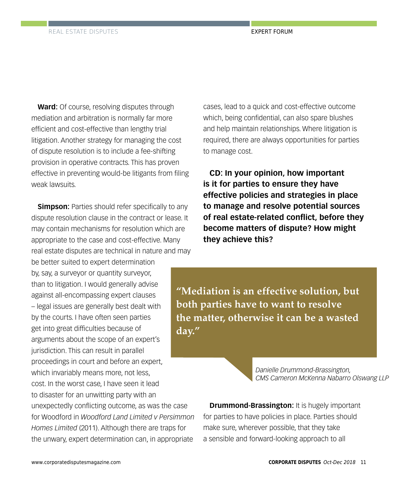**Ward:** Of course, resolving disputes through mediation and arbitration is normally far more efficient and cost-effective than lengthy trial litigation. Another strategy for managing the cost of dispute resolution is to include a fee-shifting provision in operative contracts. This has proven effective in preventing would-be litigants from filing weak lawsuits.

**Simpson:** Parties should refer specifically to any dispute resolution clause in the contract or lease. It may contain mechanisms for resolution which are appropriate to the case and cost-effective. Many real estate disputes are technical in nature and may

be better suited to expert determination by, say, a surveyor or quantity surveyor, than to litigation. I would generally advise against all-encompassing expert clauses – legal issues are generally best dealt with by the courts. I have often seen parties get into great difficulties because of arguments about the scope of an expert's jurisdiction. This can result in parallel proceedings in court and before an expert, which invariably means more, not less, cost. In the worst case, I have seen it lead to disaster for an unwitting party with an unexpectedly conflicting outcome, as was the case for Woodford in *Woodford Land Limited v Persimmon Homes Limited* (2011). Although there are traps for the unwary, expert determination can, in appropriate

cases, lead to a quick and cost-effective outcome which, being confidential, can also spare blushes and help maintain relationships. Where litigation is required, there are always opportunities for parties to manage cost.

**CD: In your opinion, how important is it for parties to ensure they have effective policies and strategies in place to manage and resolve potential sources of real estate-related conflict, before they become matters of dispute? How might they achieve this?**

**"Mediation is an effective solution, but both parties have to want to resolve the matter, otherwise it can be a wasted day."**

> *Danielle Drummond-Brassington, CMS Cameron McKenna Nabarro Olswang LLP*

**Drummond-Brassington: It is hugely important** for parties to have policies in place. Parties should make sure, wherever possible, that they take a sensible and forward-looking approach to all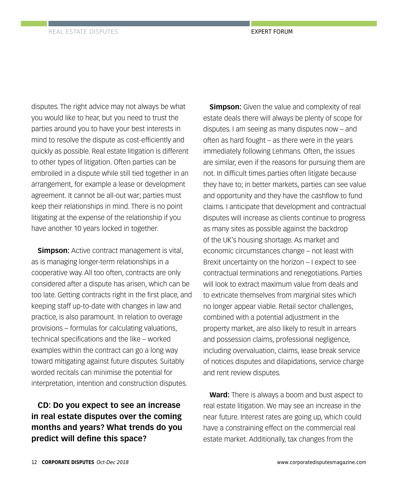disputes. The right advice may not always be what you would like to hear, but you need to trust the parties around you to have your best interests in mind to resolve the dispute as cost-efficiently and quickly as possible. Real estate litigation is different to other types of litigation. Often parties can be embroiled in a dispute while still tied together in an arrangement, for example a lease or development agreement. It cannot be all-out war; parties must keep their relationships in mind. There is no point litigating at the expense of the relationship if you have another 10 years locked in together.

**Simpson:** Active contract management is vital, as is managing longer-term relationships in a cooperative way. All too often, contracts are only considered after a dispute has arisen, which can be too late. Getting contracts right in the first place, and keeping staff up-to-date with changes in law and practice, is also paramount. In relation to overage provisions – formulas for calculating valuations, technical specifications and the like – worked examples within the contract can go a long way toward mitigating against future disputes. Suitably worded recitals can minimise the potential for interpretation, intention and construction disputes.

**CD: Do you expect to see an increase in real estate disputes over the coming months and years? What trends do you predict will define this space?**

**Simpson:** Given the value and complexity of real estate deals there will always be plenty of scope for disputes. I am seeing as many disputes now – and often as hard fought – as there were in the years immediately following Lehmans. Often, the issues are similar, even if the reasons for pursuing them are not. In difficult times parties often litigate because they have to; in better markets, parties can see value and opportunity and they have the cashflow to fund claims. I anticipate that development and contractual disputes will increase as clients continue to progress as many sites as possible against the backdrop of the UK's housing shortage. As market and economic circumstances change – not least with Brexit uncertainty on the horizon – I expect to see contractual terminations and renegotiations. Parties will look to extract maximum value from deals and to extricate themselves from marginal sites which no longer appear viable. Retail sector challenges, combined with a potential adjustment in the property market, are also likely to result in arrears and possession claims, professional negligence, including overvaluation, claims, Iease break service of notices disputes and dilapidations, service charge and rent review disputes.

**Ward:** There is always a boom and bust aspect to real estate litigation. We may see an increase in the near future. Interest rates are going up, which could have a constraining effect on the commercial real estate market. Additionally, tax changes from the